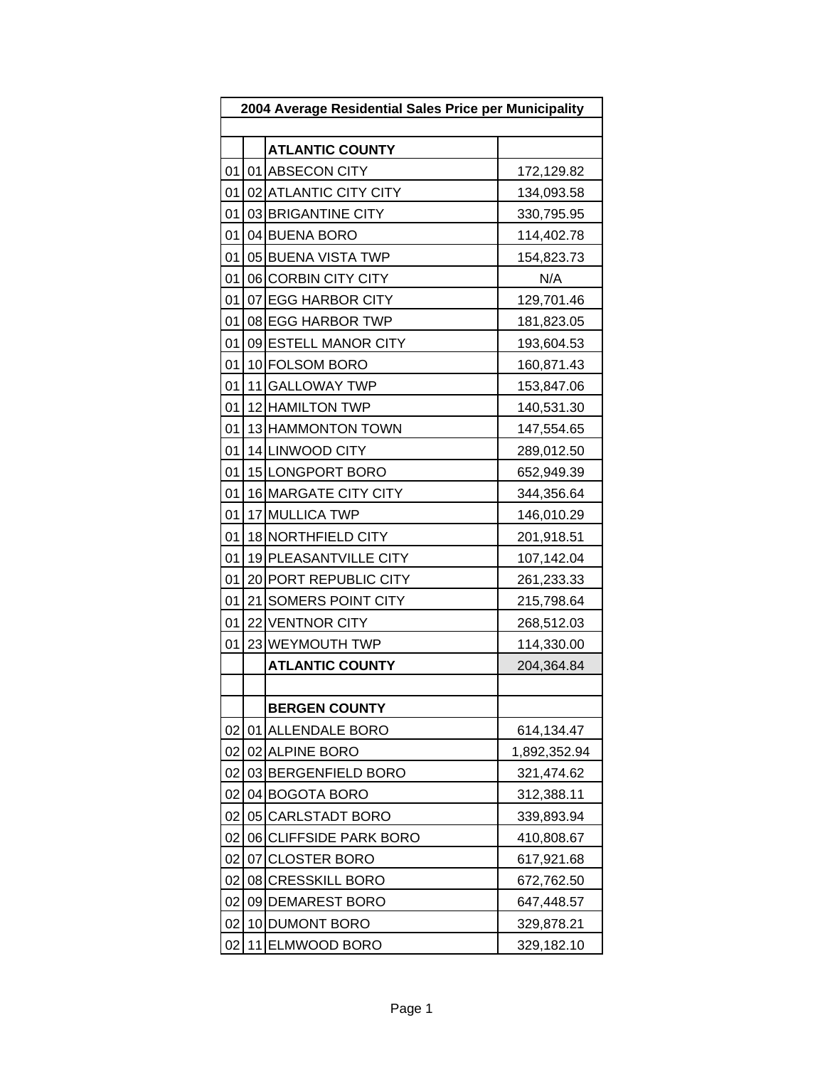| 2004 Average Residential Sales Price per Municipality |      |                        |              |
|-------------------------------------------------------|------|------------------------|--------------|
|                                                       |      |                        |              |
|                                                       |      | <b>ATLANTIC COUNTY</b> |              |
| 01                                                    |      | 01 ABSECON CITY        | 172,129.82   |
| 01                                                    |      | 02 ATLANTIC CITY CITY  | 134,093.58   |
| 01                                                    |      | 03 BRIGANTINE CITY     | 330,795.95   |
| 01                                                    |      | 04 BUENA BORO          | 114,402.78   |
| 01                                                    |      | 05 BUENA VISTA TWP     | 154,823.73   |
| 01                                                    |      | 06 CORBIN CITY CITY    | N/A          |
| 01                                                    |      | 07 EGG HARBOR CITY     | 129,701.46   |
| 01                                                    |      | 08 EGG HARBOR TWP      | 181,823.05   |
| 01                                                    |      | 09 ESTELL MANOR CITY   | 193,604.53   |
| 01                                                    |      | 10 FOLSOM BORO         | 160,871.43   |
| 01                                                    |      | 11 GALLOWAY TWP        | 153,847.06   |
| 01                                                    |      | 12 HAMILTON TWP        | 140,531.30   |
| 01                                                    |      | 13 HAMMONTON TOWN      | 147,554.65   |
| 01                                                    |      | 14 LINWOOD CITY        | 289,012.50   |
| 01                                                    |      | 15 LONGPORT BORO       | 652,949.39   |
| 01                                                    |      | 16 MARGATE CITY CITY   | 344,356.64   |
| 01                                                    |      | 17 MULLICA TWP         | 146,010.29   |
| 01                                                    |      | 18 NORTHFIELD CITY     | 201,918.51   |
| 01                                                    |      | 19 PLEASANTVILLE CITY  | 107,142.04   |
| 01                                                    |      | 20 PORT REPUBLIC CITY  | 261,233.33   |
| 01                                                    |      | 21 SOMERS POINT CITY   | 215,798.64   |
| 01                                                    |      | 22 VENTNOR CITY        | 268,512.03   |
| 01                                                    |      | 23 WEYMOUTH TWP        | 114,330.00   |
|                                                       |      | <b>ATLANTIC COUNTY</b> | 204,364.84   |
|                                                       |      |                        |              |
|                                                       |      | <b>BERGEN COUNTY</b>   |              |
| 02                                                    |      | 01 ALLENDALE BORO      | 614,134.47   |
| 02                                                    |      | 02 ALPINE BORO         | 1,892,352.94 |
| 02                                                    |      | 03 BERGENFIELD BORO    | 321,474.62   |
| 02                                                    |      | 04 BOGOTA BORO         | 312,388.11   |
| 02                                                    |      | 05 CARLSTADT BORO      | 339,893.94   |
| 02                                                    |      | 06 CLIFFSIDE PARK BORO | 410,808.67   |
| 02                                                    | 07 I | <b>CLOSTER BORO</b>    | 617,921.68   |
| 02                                                    |      | 08 CRESSKILL BORO      | 672,762.50   |
| 02                                                    |      | 09 DEMAREST BORO       | 647,448.57   |
| 02                                                    |      | 10 DUMONT BORO         | 329,878.21   |
| 02                                                    |      | 11 ELMWOOD BORO        | 329,182.10   |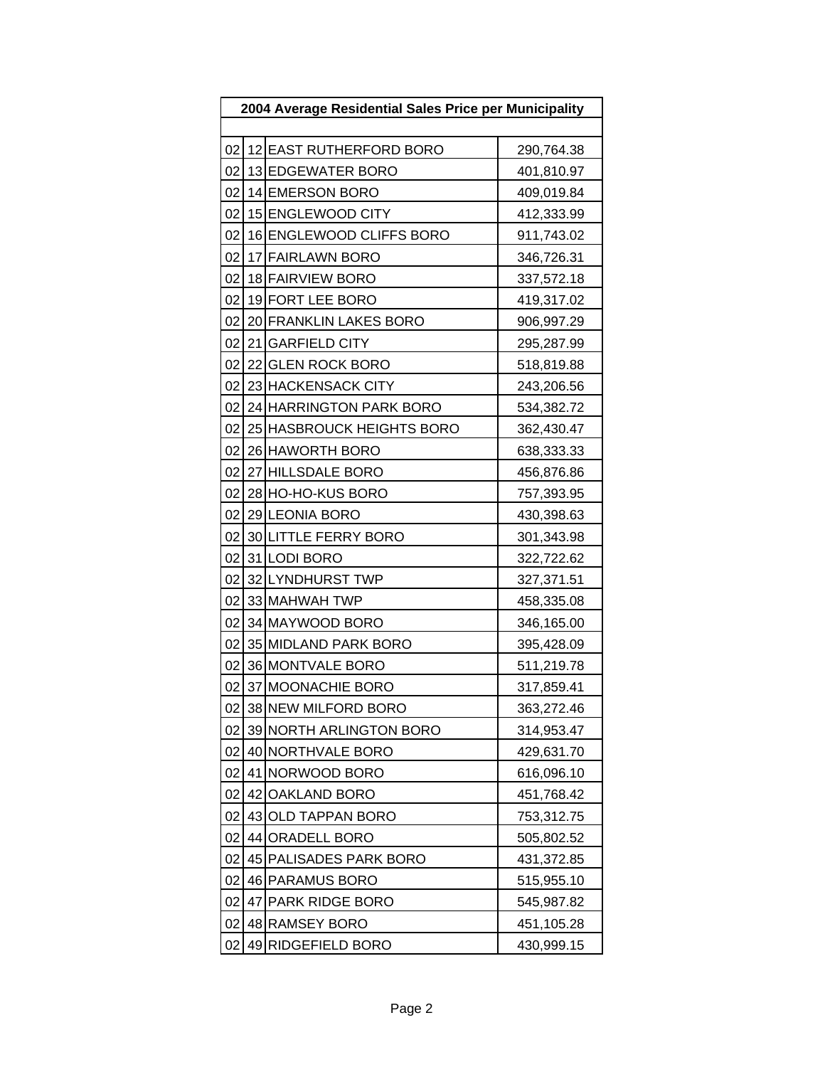| 2004 Average Residential Sales Price per Municipality |                 |                           |            |  |  |
|-------------------------------------------------------|-----------------|---------------------------|------------|--|--|
|                                                       |                 |                           |            |  |  |
| 02                                                    |                 | 12 EAST RUTHERFORD BORO   | 290,764.38 |  |  |
| 02                                                    |                 | 13 EDGEWATER BORO         | 401,810.97 |  |  |
| 02                                                    |                 | 14 EMERSON BORO           | 409,019.84 |  |  |
| 02                                                    |                 | 15 ENGLEWOOD CITY         | 412,333.99 |  |  |
| 02                                                    |                 | 16 ENGLEWOOD CLIFFS BORO  | 911,743.02 |  |  |
| 02                                                    |                 | 17 FAIRLAWN BORO          | 346,726.31 |  |  |
| 02                                                    |                 | 18 FAIRVIEW BORO          | 337,572.18 |  |  |
| 02                                                    |                 | 19 FORT LEE BORO          | 419,317.02 |  |  |
| 02                                                    |                 | 20 FRANKLIN LAKES BORO    | 906,997.29 |  |  |
| 02                                                    |                 | 21 GARFIELD CITY          | 295,287.99 |  |  |
| 02                                                    |                 | 22 GLEN ROCK BORO         | 518,819.88 |  |  |
| 02                                                    |                 | 23 HACKENSACK CITY        | 243,206.56 |  |  |
| 02                                                    |                 | 24 HARRINGTON PARK BORO   | 534,382.72 |  |  |
| 02                                                    |                 | 25 HASBROUCK HEIGHTS BORO | 362,430.47 |  |  |
| 02                                                    |                 | 26 HAWORTH BORO           | 638,333.33 |  |  |
| 02                                                    |                 | 27 HILLSDALE BORO         | 456,876.86 |  |  |
| 02                                                    |                 | 28 HO-HO-KUS BORO         | 757,393.95 |  |  |
| 02                                                    |                 | 29 LEONIA BORO            | 430,398.63 |  |  |
| 02                                                    |                 | 30 LITTLE FERRY BORO      | 301,343.98 |  |  |
| 02                                                    |                 | 31 LODI BORO              | 322,722.62 |  |  |
| 02                                                    |                 | 32 LYNDHURST TWP          | 327,371.51 |  |  |
| 02                                                    |                 | 33 MAHWAH TWP             | 458,335.08 |  |  |
| 02                                                    |                 | 34 MAYWOOD BORO           | 346,165.00 |  |  |
| 02                                                    |                 | 35 MIDLAND PARK BORO      | 395,428.09 |  |  |
| 02                                                    |                 | 36 MONTVALE BORO          | 511,219.78 |  |  |
| 02                                                    | 37 <sup>1</sup> | <b>MOONACHIE BORO</b>     | 317,859.41 |  |  |
| 02                                                    |                 | 38 NEW MILFORD BORO       | 363,272.46 |  |  |
| 02                                                    |                 | 39 NORTH ARLINGTON BORO   | 314,953.47 |  |  |
| 02                                                    |                 | 40 NORTHVALE BORO         | 429,631.70 |  |  |
| 02                                                    | 41              | NORWOOD BORO              | 616,096.10 |  |  |
| 02                                                    | 42              | OAKLAND BORO              | 451,768.42 |  |  |
| 02                                                    |                 | 43 OLD TAPPAN BORO        | 753,312.75 |  |  |
| 02                                                    | 44              | <b>ORADELL BORO</b>       | 505,802.52 |  |  |
| 02                                                    |                 | 45 PALISADES PARK BORO    | 431,372.85 |  |  |
| 02                                                    |                 | 46 PARAMUS BORO           | 515,955.10 |  |  |
| 02                                                    | 47              | <b>PARK RIDGE BORO</b>    | 545,987.82 |  |  |
| 02                                                    |                 | 48 RAMSEY BORO            | 451,105.28 |  |  |
| 02                                                    |                 | 49 RIDGEFIELD BORO        | 430,999.15 |  |  |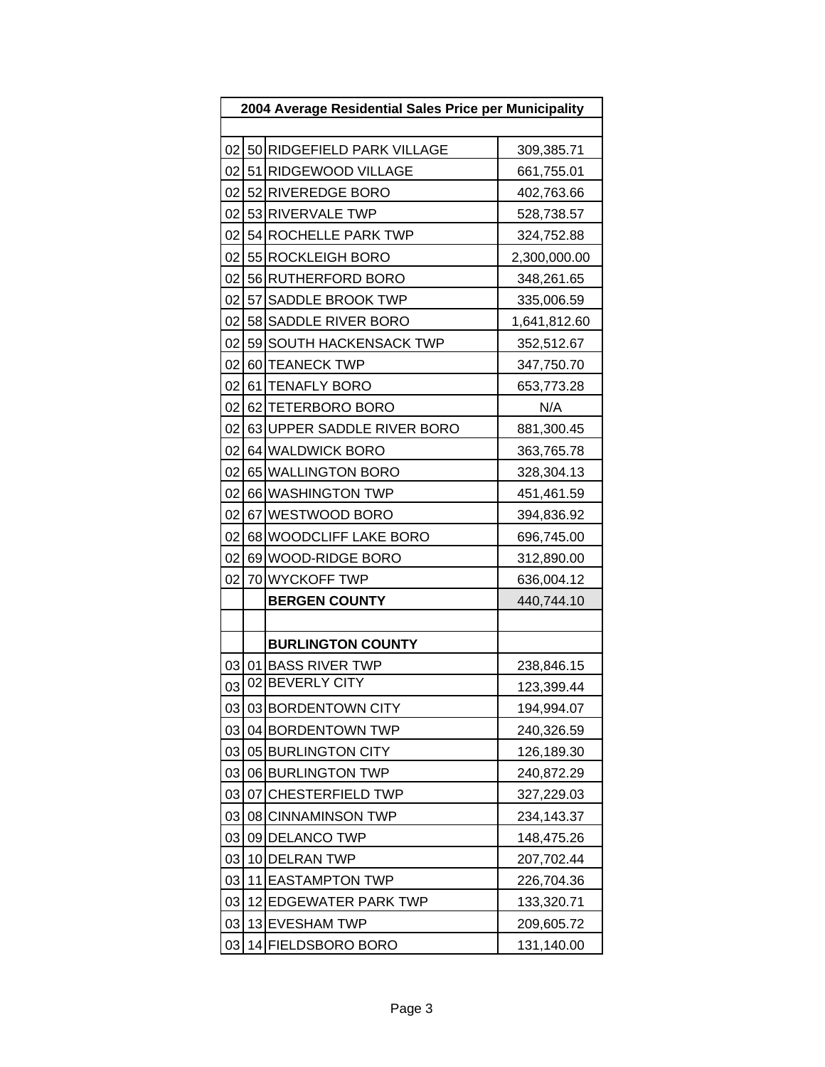| 2004 Average Residential Sales Price per Municipality |    |                            |              |
|-------------------------------------------------------|----|----------------------------|--------------|
|                                                       |    |                            |              |
| 02                                                    |    | 50 RIDGEFIELD PARK VILLAGE | 309,385.71   |
| 02                                                    |    | 51 RIDGEWOOD VILLAGE       | 661,755.01   |
| 02                                                    |    | 52 RIVEREDGE BORO          | 402,763.66   |
| 02 <sub>l</sub>                                       |    | 53 RIVERVALE TWP           | 528,738.57   |
| 02                                                    |    | 54 ROCHELLE PARK TWP       | 324,752.88   |
| 02                                                    |    | 55 ROCKLEIGH BORO          | 2,300,000.00 |
| 02 <sub>l</sub>                                       |    | 56 RUTHERFORD BORO         | 348,261.65   |
| 02                                                    |    | 57 SADDLE BROOK TWP        | 335,006.59   |
| 02                                                    |    | 58 SADDLE RIVER BORO       | 1,641,812.60 |
| 02                                                    |    | 59 SOUTH HACKENSACK TWP    | 352,512.67   |
| 02                                                    |    | 60 TEANECK TWP             | 347,750.70   |
| 02                                                    |    | 61 TENAFLY BORO            | 653,773.28   |
| 02                                                    |    | 62 TETERBORO BORO          | N/A          |
| 02                                                    |    | 63 UPPER SADDLE RIVER BORO | 881,300.45   |
| 02                                                    |    | 64 WALDWICK BORO           | 363,765.78   |
| 02                                                    |    | 65 WALLINGTON BORO         | 328,304.13   |
| 02                                                    |    | 66 WASHINGTON TWP          | 451,461.59   |
| 02                                                    |    | 67 WESTWOOD BORO           | 394,836.92   |
| 02                                                    |    | 68 WOODCLIFF LAKE BORO     | 696,745.00   |
| 02                                                    |    | 69 WOOD-RIDGE BORO         | 312,890.00   |
| 02                                                    |    | 70 WYCKOFF TWP             | 636,004.12   |
|                                                       |    | <b>BERGEN COUNTY</b>       | 440,744.10   |
|                                                       |    |                            |              |
|                                                       |    | <b>BURLINGTON COUNTY</b>   |              |
| 03                                                    |    | 01 BASS RIVER TWP          | 238,846.15   |
| 03                                                    |    | 02 BEVERLY CITY            | 123,399.44   |
| 03                                                    |    | 03 BORDENTOWN CITY         | 194,994.07   |
| 03                                                    |    | 04 BORDENTOWN TWP          | 240,326.59   |
| 03                                                    |    | 05 BURLINGTON CITY         | 126,189.30   |
| 03                                                    |    | 06 BURLINGTON TWP          | 240,872.29   |
| 03                                                    | 07 | <b>CHESTERFIELD TWP</b>    | 327,229.03   |
| 03                                                    |    | 08 CINNAMINSON TWP         | 234,143.37   |
| 03                                                    |    | 09 DELANCO TWP             | 148,475.26   |
| 03                                                    |    | 10 DELRAN TWP              | 207,702.44   |
| 03                                                    |    | 11 EASTAMPTON TWP          | 226,704.36   |
| 03                                                    |    | 12 EDGEWATER PARK TWP      | 133,320.71   |
| 03                                                    |    | 13 EVESHAM TWP             | 209,605.72   |
| 03                                                    |    | 14 FIELDSBORO BORO         | 131,140.00   |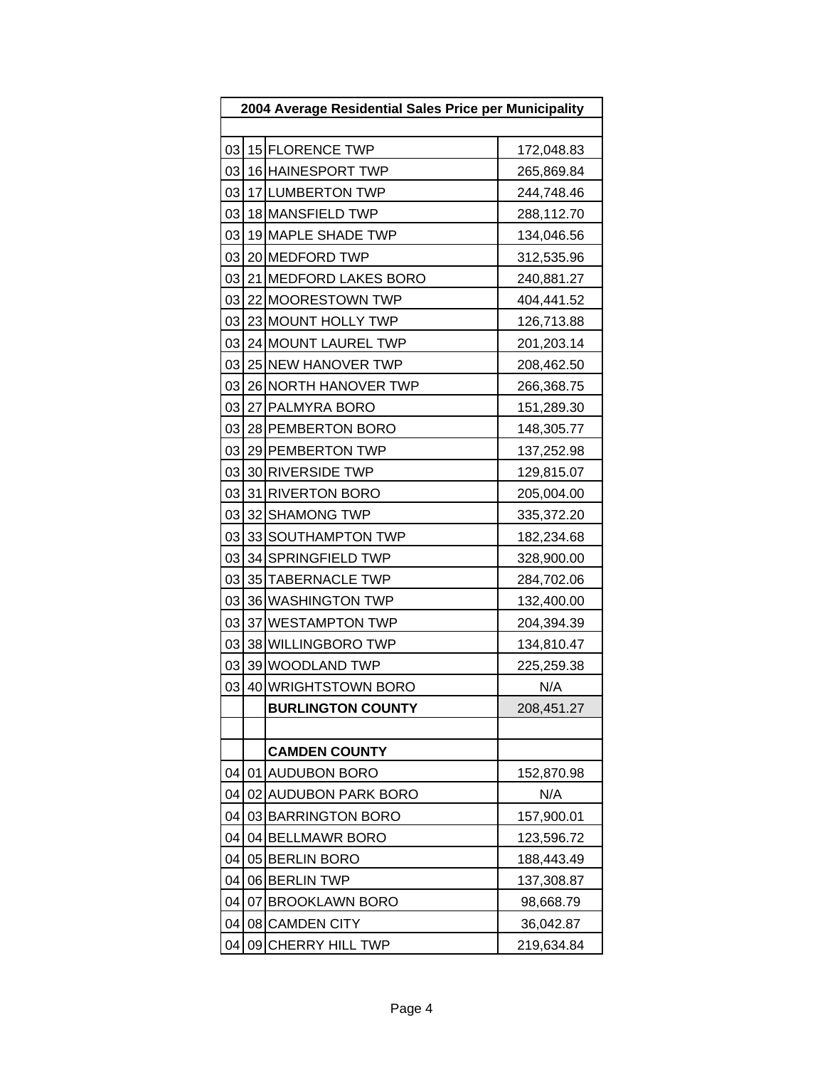| 2004 Average Residential Sales Price per Municipality |    |                          |            |
|-------------------------------------------------------|----|--------------------------|------------|
|                                                       |    |                          |            |
| 03                                                    |    | 15 FLORENCE TWP          | 172,048.83 |
| 03                                                    |    | 16 HAINESPORT TWP        | 265,869.84 |
| 03                                                    |    | 17 LUMBERTON TWP         | 244,748.46 |
| 03                                                    |    | 18 MANSFIELD TWP         | 288,112.70 |
| 03                                                    |    | 19 MAPLE SHADE TWP       | 134,046.56 |
| 03                                                    |    | 20 MEDFORD TWP           | 312,535.96 |
| 03                                                    |    | 21 MEDFORD LAKES BORO    | 240,881.27 |
| 03                                                    |    | 22 MOORESTOWN TWP        | 404,441.52 |
| 03                                                    |    | 23 MOUNT HOLLY TWP       | 126,713.88 |
| 03                                                    |    | 24 MOUNT LAUREL TWP      | 201,203.14 |
| 03                                                    |    | 25 NEW HANOVER TWP       | 208,462.50 |
| 03                                                    |    | 26 NORTH HANOVER TWP     | 266,368.75 |
| 03                                                    |    | 27 PALMYRA BORO          | 151,289.30 |
| 03                                                    |    | 28 PEMBERTON BORO        | 148,305.77 |
| 03                                                    |    | 29 PEMBERTON TWP         | 137,252.98 |
| 03                                                    |    | 30 RIVERSIDE TWP         | 129,815.07 |
| 03                                                    |    | 31 RIVERTON BORO         | 205,004.00 |
| 03                                                    |    | 32 SHAMONG TWP           | 335,372.20 |
| 03                                                    |    | 33 SOUTHAMPTON TWP       | 182,234.68 |
| 03                                                    |    | 34 SPRINGFIELD TWP       | 328,900.00 |
| 03                                                    |    | 35 TABERNACLE TWP        | 284,702.06 |
| 03                                                    |    | 36 WASHINGTON TWP        | 132,400.00 |
| 03                                                    |    | 37 WESTAMPTON TWP        | 204,394.39 |
| 03                                                    |    | 38 WILLINGBORO TWP       | 134,810.47 |
| 03                                                    |    | 39 WOODLAND TWP          | 225,259.38 |
| 03                                                    |    | 40 WRIGHTSTOWN BORO      | N/A        |
|                                                       |    | <b>BURLINGTON COUNTY</b> | 208,451.27 |
|                                                       |    |                          |            |
|                                                       |    | <b>CAMDEN COUNTY</b>     |            |
| 04                                                    |    | 01 AUDUBON BORO          | 152,870.98 |
| 04                                                    |    | 02 AUDUBON PARK BORO     | N/A        |
| 04                                                    |    | 03 BARRINGTON BORO       | 157,900.01 |
| 04                                                    |    | 04 BELLMAWR BORO         | 123,596.72 |
| 04                                                    |    | 05 BERLIN BORO           | 188,443.49 |
| 04                                                    |    | 06 BERLIN TWP            | 137,308.87 |
| 04                                                    | 07 | <b>BROOKLAWN BORO</b>    | 98,668.79  |
| 04                                                    | 08 | <b>CAMDEN CITY</b>       | 36,042.87  |
| 04                                                    | 09 | <b>CHERRY HILL TWP</b>   | 219,634.84 |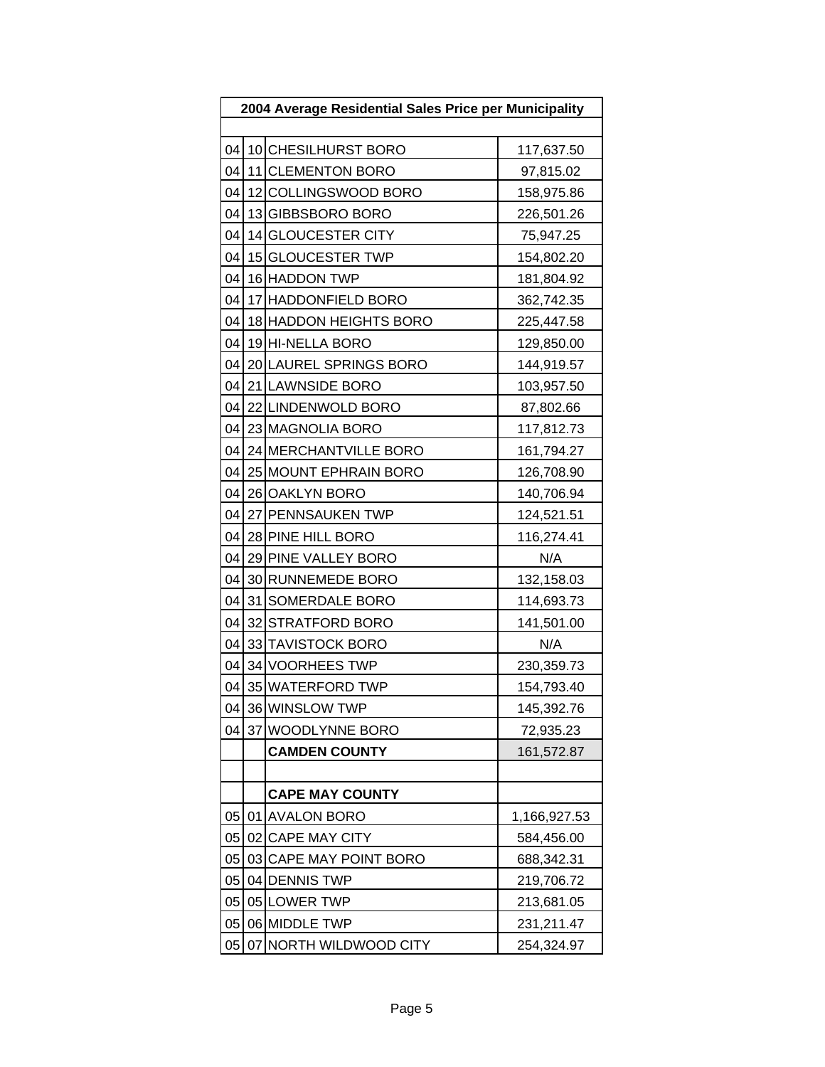| 2004 Average Residential Sales Price per Municipality |    |                        |              |
|-------------------------------------------------------|----|------------------------|--------------|
|                                                       |    |                        |              |
| 04                                                    |    | 10 CHESILHURST BORO    | 117,637.50   |
| 04                                                    |    | 11 CLEMENTON BORO      | 97,815.02    |
| 04                                                    |    | 12 COLLINGSWOOD BORO   | 158,975.86   |
| 04                                                    |    | 13 GIBBSBORO BORO      | 226,501.26   |
| 04                                                    |    | 14 GLOUCESTER CITY     | 75,947.25    |
| 04                                                    |    | 15 GLOUCESTER TWP      | 154,802.20   |
| 04                                                    |    | 16 HADDON TWP          | 181,804.92   |
| 04                                                    |    | 17 HADDONFIELD BORO    | 362,742.35   |
| 04                                                    |    | 18 HADDON HEIGHTS BORO | 225,447.58   |
| 04                                                    |    | 19 HI-NELLA BORO       | 129,850.00   |
| 04                                                    |    | 20 LAUREL SPRINGS BORO | 144,919.57   |
| 04                                                    |    | 21 LAWNSIDE BORO       | 103,957.50   |
| 04                                                    |    | 22 LINDENWOLD BORO     | 87,802.66    |
| 04                                                    |    | 23 MAGNOLIA BORO       | 117,812.73   |
| 04                                                    |    | 24 MERCHANTVILLE BORO  | 161,794.27   |
| 04                                                    |    | 25 MOUNT EPHRAIN BORO  | 126,708.90   |
| 04                                                    |    | 26 OAKLYN BORO         | 140,706.94   |
| 04                                                    |    | 27 PENNSAUKEN TWP      | 124,521.51   |
| 04                                                    |    | 28 PINE HILL BORO      | 116,274.41   |
| 04                                                    |    | 29 PINE VALLEY BORO    | N/A          |
| 04                                                    |    | 30 RUNNEMEDE BORO      | 132,158.03   |
| 04                                                    |    | 31 SOMERDALE BORO      | 114,693.73   |
| 04                                                    |    | 32 STRATFORD BORO      | 141,501.00   |
| 04                                                    |    | 33 TAVISTOCK BORO      | N/A          |
| 04                                                    |    | 34 VOORHEES TWP        | 230,359.73   |
| 04                                                    |    | 35 WATERFORD TWP       | 154,793.40   |
| 04                                                    |    | 36 WINSLOW TWP         | 145,392.76   |
| 04                                                    |    | 37 WOODLYNNE BORO      | 72,935.23    |
|                                                       |    | <b>CAMDEN COUNTY</b>   | 161,572.87   |
|                                                       |    |                        |              |
|                                                       |    | <b>CAPE MAY COUNTY</b> |              |
| 05                                                    |    | 01 AVALON BORO         | 1,166,927.53 |
| 05                                                    |    | 02 CAPE MAY CITY       | 584,456.00   |
| 05                                                    |    | 03 CAPE MAY POINT BORO | 688,342.31   |
| 05                                                    |    | 04 DENNIS TWP          | 219,706.72   |
| 05                                                    |    | 05 LOWER TWP           | 213,681.05   |
| 05                                                    |    | 06 MIDDLE TWP          | 231,211.47   |
| 05                                                    | 07 | NORTH WILDWOOD CITY    | 254,324.97   |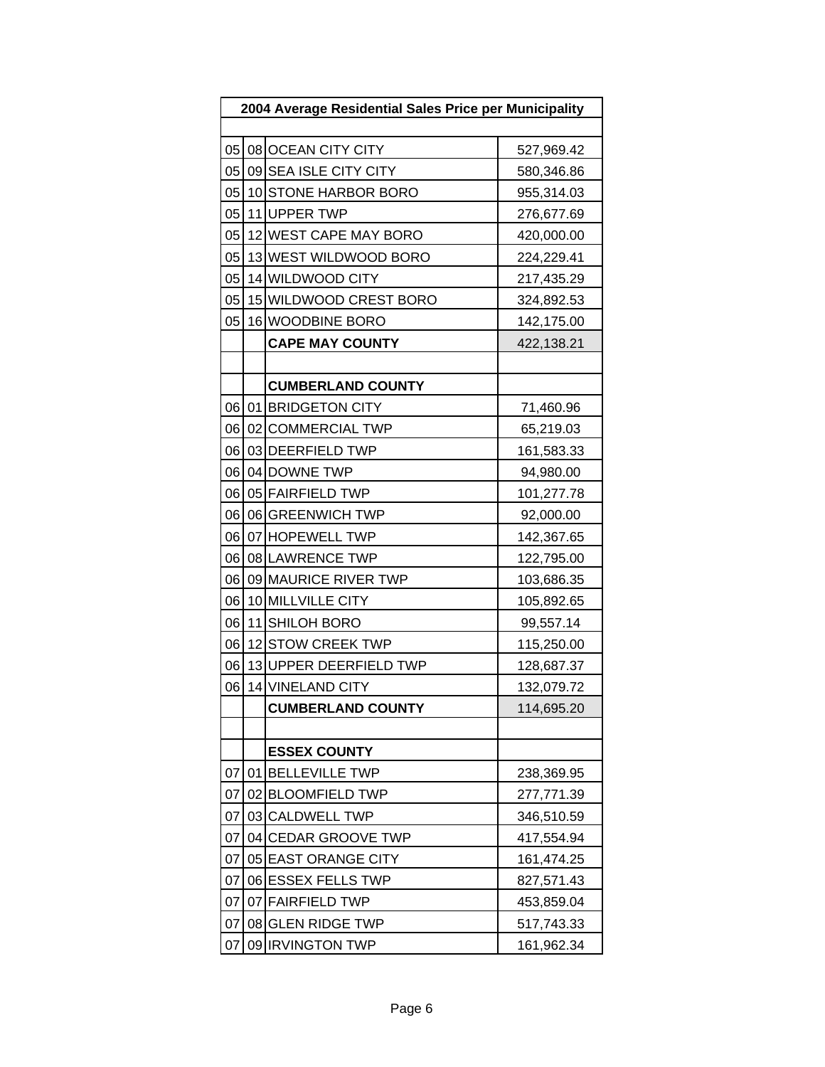|    | 2004 Average Residential Sales Price per Municipality |                          |            |  |
|----|-------------------------------------------------------|--------------------------|------------|--|
|    |                                                       |                          |            |  |
|    |                                                       | 05 08 OCEAN CITY CITY    | 527,969.42 |  |
| 05 |                                                       | 09 SEA ISLE CITY CITY    | 580,346.86 |  |
| 05 |                                                       | 10 STONE HARBOR BORO     | 955,314.03 |  |
| 05 |                                                       | 11 UPPER TWP             | 276,677.69 |  |
| 05 |                                                       | 12 WEST CAPE MAY BORO    | 420,000.00 |  |
| 05 |                                                       | 13 WEST WILDWOOD BORO    | 224,229.41 |  |
| 05 |                                                       | 14 WILDWOOD CITY         | 217,435.29 |  |
| 05 |                                                       | 15 WILDWOOD CREST BORO   | 324,892.53 |  |
| 05 |                                                       | 16 WOODBINE BORO         | 142,175.00 |  |
|    |                                                       | <b>CAPE MAY COUNTY</b>   | 422,138.21 |  |
|    |                                                       |                          |            |  |
|    |                                                       | <b>CUMBERLAND COUNTY</b> |            |  |
|    |                                                       | 06 01 BRIDGETON CITY     | 71,460.96  |  |
| 06 |                                                       | 02 COMMERCIAL TWP        | 65,219.03  |  |
| 06 |                                                       | 03 DEERFIELD TWP         | 161,583.33 |  |
| 06 |                                                       | 04 DOWNE TWP             | 94,980.00  |  |
| 06 |                                                       | 05 FAIRFIELD TWP         | 101,277.78 |  |
| 06 |                                                       | 06 GREENWICH TWP         | 92,000.00  |  |
| 06 |                                                       | 07 HOPEWELL TWP          | 142,367.65 |  |
| 06 |                                                       | 08 LAWRENCE TWP          | 122,795.00 |  |
| 06 |                                                       | 09 MAURICE RIVER TWP     | 103,686.35 |  |
| 06 |                                                       | 10 MILLVILLE CITY        | 105,892.65 |  |
| 06 |                                                       | 11 SHILOH BORO           | 99,557.14  |  |
| 06 |                                                       | 12 STOW CREEK TWP        | 115,250.00 |  |
| 06 |                                                       | 13 UPPER DEERFIELD TWP   | 128,687.37 |  |
| 06 |                                                       | 14 VINELAND CITY         | 132,079.72 |  |
|    |                                                       | <b>CUMBERLAND COUNTY</b> | 114,695.20 |  |
|    |                                                       |                          |            |  |
|    |                                                       | <b>ESSEX COUNTY</b>      |            |  |
| 07 |                                                       | 01 BELLEVILLE TWP        | 238,369.95 |  |
| 07 |                                                       | 02 BLOOMFIELD TWP        | 277,771.39 |  |
| 07 |                                                       | 03 CALDWELL TWP          | 346,510.59 |  |
| 07 |                                                       | 04 CEDAR GROOVE TWP      | 417,554.94 |  |
| 07 |                                                       | 05 EAST ORANGE CITY      | 161,474.25 |  |
| 07 |                                                       | 06 ESSEX FELLS TWP       | 827,571.43 |  |
| 07 |                                                       | 07 FAIRFIELD TWP         | 453,859.04 |  |
| 07 | 08                                                    | <b>GLEN RIDGE TWP</b>    | 517,743.33 |  |
| 07 |                                                       | 09 IRVINGTON TWP         | 161,962.34 |  |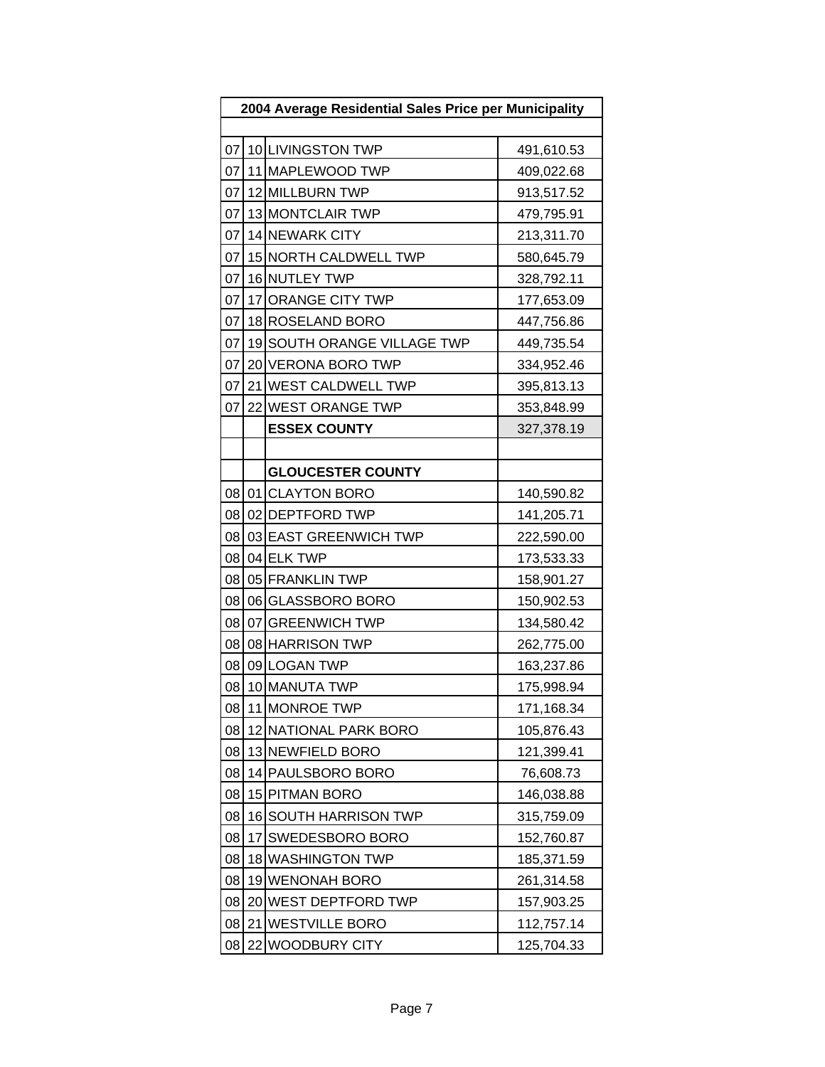| 2004 Average Residential Sales Price per Municipality |    |                             |            |
|-------------------------------------------------------|----|-----------------------------|------------|
|                                                       |    |                             |            |
| 07                                                    |    | 10 LIVINGSTON TWP           | 491,610.53 |
| 07                                                    |    | 11 MAPLEWOOD TWP            | 409,022.68 |
| 07                                                    |    | 12 MILLBURN TWP             | 913,517.52 |
| 07                                                    |    | 13 MONTCLAIR TWP            | 479,795.91 |
| 07                                                    |    | 14 NEWARK CITY              | 213,311.70 |
| 07                                                    |    | 15 NORTH CALDWELL TWP       | 580,645.79 |
| 07                                                    |    | 16 NUTLEY TWP               | 328,792.11 |
| 07                                                    |    | 17 ORANGE CITY TWP          | 177,653.09 |
| 07                                                    |    | 18 ROSELAND BORO            | 447,756.86 |
| 07                                                    |    | 19 SOUTH ORANGE VILLAGE TWP | 449,735.54 |
| 07                                                    |    | 20 VERONA BORO TWP          | 334,952.46 |
| 07                                                    |    | 21 WEST CALDWELL TWP        | 395,813.13 |
| 07                                                    |    | 22 WEST ORANGE TWP          | 353,848.99 |
|                                                       |    | <b>ESSEX COUNTY</b>         | 327,378.19 |
|                                                       |    |                             |            |
|                                                       |    | <b>GLOUCESTER COUNTY</b>    |            |
| 08                                                    |    | 01 CLAYTON BORO             | 140,590.82 |
| 08                                                    |    | 02 DEPTFORD TWP             | 141,205.71 |
| 08                                                    |    | 03 EAST GREENWICH TWP       | 222,590.00 |
| 08                                                    |    | 04 ELK TWP                  | 173,533.33 |
| 08                                                    |    | 05 FRANKLIN TWP             | 158,901.27 |
| 08                                                    |    | 06 GLASSBORO BORO           | 150,902.53 |
| 08                                                    |    | 07 GREENWICH TWP            | 134,580.42 |
| 08                                                    |    | 08 HARRISON TWP             | 262,775.00 |
| 08                                                    |    | 09 LOGAN TWP                | 163,237.86 |
| 08                                                    |    | 10 MANUTA TWP               | 175,998.94 |
| 08                                                    |    | 11 MONROE TWP               | 171,168.34 |
| 08                                                    |    | 12 NATIONAL PARK BORO       | 105,876.43 |
| 08                                                    |    | 13 NEWFIELD BORO            | 121,399.41 |
| 08                                                    |    | 14 PAULSBORO BORO           | 76,608.73  |
| 08                                                    |    | 15 PITMAN BORO              | 146,038.88 |
| 08                                                    |    | 16 SOUTH HARRISON TWP       | 315,759.09 |
| 08                                                    | 17 | SWEDESBORO BORO             | 152,760.87 |
| 08                                                    |    | 18 WASHINGTON TWP           | 185,371.59 |
| 08                                                    |    | 19 WENONAH BORO             | 261,314.58 |
| 08                                                    |    | 20 WEST DEPTFORD TWP        | 157,903.25 |
| 08                                                    | 21 | <b>WESTVILLE BORO</b>       | 112,757.14 |
| 08                                                    |    | 22 WOODBURY CITY            | 125,704.33 |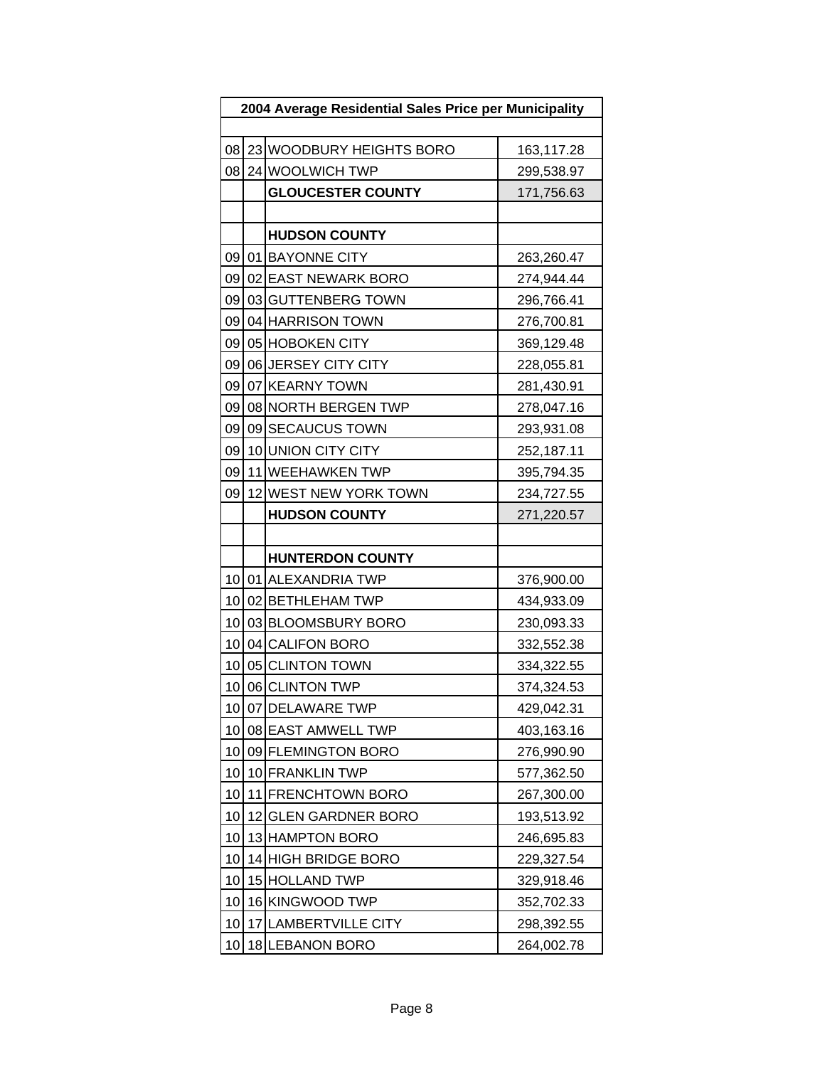| 2004 Average Residential Sales Price per Municipality |     |                          |            |
|-------------------------------------------------------|-----|--------------------------|------------|
|                                                       |     |                          |            |
| 08                                                    |     | 23 WOODBURY HEIGHTS BORO | 163,117.28 |
| 08                                                    |     | 24 WOOLWICH TWP          | 299,538.97 |
|                                                       |     | <b>GLOUCESTER COUNTY</b> | 171,756.63 |
|                                                       |     |                          |            |
|                                                       |     | <b>HUDSON COUNTY</b>     |            |
| 09                                                    |     | 01 BAYONNE CITY          | 263,260.47 |
| 09                                                    |     | 02 EAST NEWARK BORO      | 274,944.44 |
| 09                                                    |     | 03 GUTTENBERG TOWN       | 296,766.41 |
| 09                                                    |     | 04 HARRISON TOWN         | 276,700.81 |
| 09                                                    |     | 05 HOBOKEN CITY          | 369,129.48 |
| 09                                                    |     | 06 JERSEY CITY CITY      | 228,055.81 |
| 09                                                    |     | 07 KEARNY TOWN           | 281,430.91 |
| 09                                                    |     | 08 NORTH BERGEN TWP      | 278,047.16 |
| 09                                                    |     | 09 SECAUCUS TOWN         | 293,931.08 |
| 09                                                    |     | 10 UNION CITY CITY       | 252,187.11 |
| 09                                                    |     | 11 WEEHAWKEN TWP         | 395,794.35 |
| 09                                                    |     | 12 WEST NEW YORK TOWN    | 234,727.55 |
|                                                       |     | <b>HUDSON COUNTY</b>     | 271,220.57 |
|                                                       |     |                          |            |
|                                                       |     | <b>HUNTERDON COUNTY</b>  |            |
|                                                       |     | 10 01 ALEXANDRIA TWP     | 376,900.00 |
| 10 <sup>1</sup>                                       |     | 02 BETHLEHAM TWP         | 434,933.09 |
| 10                                                    |     | 03 BLOOMSBURY BORO       | 230,093.33 |
| 10 <sub>1</sub>                                       |     | 04 CALIFON BORO          | 332,552.38 |
| 10                                                    |     | 05 CLINTON TOWN          | 334,322.55 |
| 10                                                    |     | 06 CLINTON TWP           | 374,324.53 |
|                                                       |     | 10 07 DELAWARE TWP       | 429,042.31 |
| 10                                                    |     | 08 EAST AMWELL TWP       | 403,163.16 |
| 10                                                    |     | 09 FLEMINGTON BORO       | 276,990.90 |
| 10                                                    |     | 10 FRANKLIN TWP          | 577,362.50 |
| 10                                                    | 11  | <b>FRENCHTOWN BORO</b>   | 267,300.00 |
| 10                                                    |     | 12 GLEN GARDNER BORO     | 193,513.92 |
| 10                                                    |     | 13 HAMPTON BORO          | 246,695.83 |
| 10                                                    |     | 14 HIGH BRIDGE BORO      | 229,327.54 |
| 10                                                    |     | 15 HOLLAND TWP           | 329,918.46 |
| 10                                                    |     | 16 KINGWOOD TWP          | 352,702.33 |
| 10                                                    | 171 | <b>LAMBERTVILLE CITY</b> | 298,392.55 |
| 10                                                    |     | 18 LEBANON BORO          | 264,002.78 |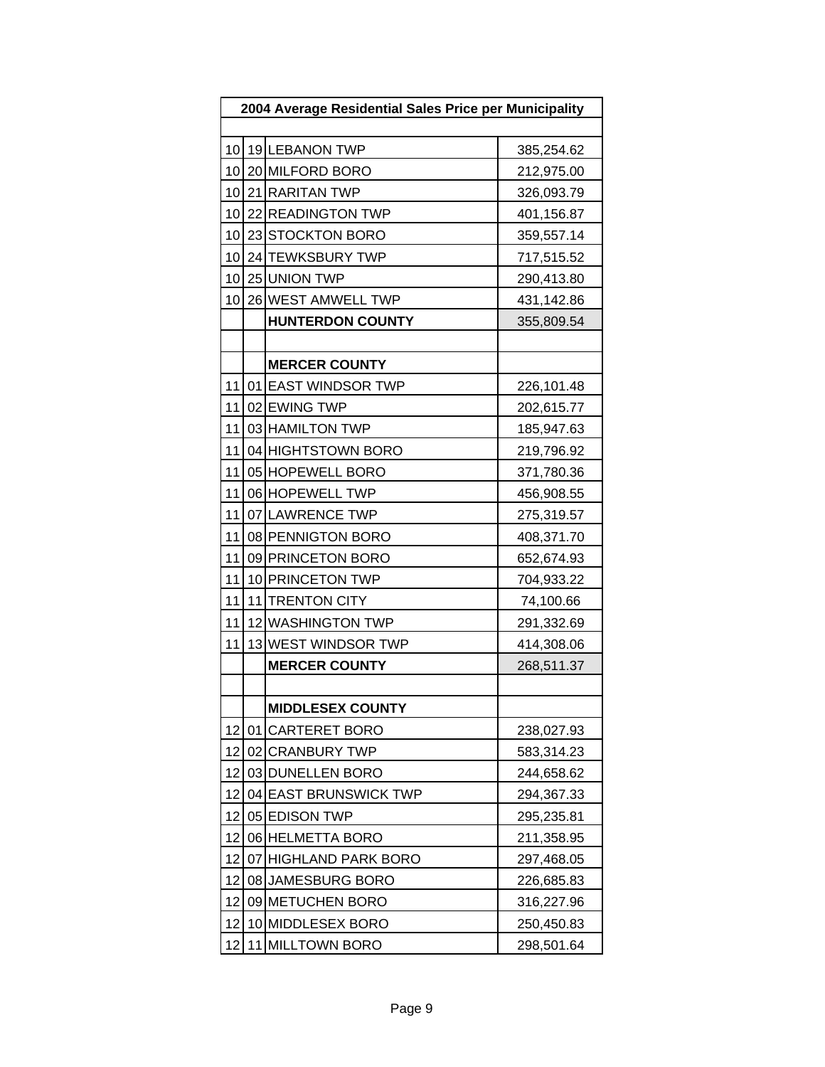| 2004 Average Residential Sales Price per Municipality |    |                         |            |
|-------------------------------------------------------|----|-------------------------|------------|
|                                                       |    |                         |            |
| 10                                                    |    | 19 LEBANON TWP          | 385,254.62 |
| 10                                                    |    | 20 MILFORD BORO         | 212,975.00 |
| 10                                                    |    | 21 RARITAN TWP          | 326,093.79 |
| 10                                                    |    | 22 READINGTON TWP       | 401,156.87 |
| 10                                                    |    | 23 STOCKTON BORO        | 359,557.14 |
| 10                                                    |    | 24 TEWKSBURY TWP        | 717,515.52 |
| 10                                                    |    | 25 UNION TWP            | 290,413.80 |
| 10                                                    |    | 26 WEST AMWELL TWP      | 431,142.86 |
|                                                       |    | <b>HUNTERDON COUNTY</b> | 355,809.54 |
|                                                       |    |                         |            |
|                                                       |    | <b>MERCER COUNTY</b>    |            |
| 11                                                    |    | 01 EAST WINDSOR TWP     | 226,101.48 |
| 11                                                    |    | 02 EWING TWP            | 202,615.77 |
| 11                                                    |    | 03 HAMILTON TWP         | 185,947.63 |
| 11                                                    |    | 04 HIGHTSTOWN BORO      | 219,796.92 |
| 11                                                    |    | 05 HOPEWELL BORO        | 371,780.36 |
| 11                                                    |    | 06 HOPEWELL TWP         | 456,908.55 |
| 11                                                    |    | 07 LAWRENCE TWP         | 275,319.57 |
| 11                                                    |    | 08 PENNIGTON BORO       | 408,371.70 |
| 11                                                    |    | 09 PRINCETON BORO       | 652,674.93 |
| 11                                                    |    | 10 PRINCETON TWP        | 704,933.22 |
| 11                                                    |    | 11 TRENTON CITY         | 74,100.66  |
| 11                                                    |    | 12 WASHINGTON TWP       | 291,332.69 |
| 11                                                    |    | 13 WEST WINDSOR TWP     | 414,308.06 |
|                                                       |    | <b>MERCER COUNTY</b>    | 268,511.37 |
|                                                       |    |                         |            |
|                                                       |    | <b>MIDDLESEX COUNTY</b> |            |
| 12                                                    |    | 01 CARTERET BORO        | 238,027.93 |
| 12                                                    |    | 02 CRANBURY TWP         | 583,314.23 |
| 12                                                    |    | 03 DUNELLEN BORO        | 244,658.62 |
| 12                                                    |    | 04 EAST BRUNSWICK TWP   | 294,367.33 |
| 12                                                    |    | 05 EDISON TWP           | 295,235.81 |
| 12                                                    |    | 06 HELMETTA BORO        | 211,358.95 |
| 12                                                    |    | 07 HIGHLAND PARK BORO   | 297,468.05 |
| 12                                                    |    | 08 JAMESBURG BORO       | 226,685.83 |
| 12                                                    |    | 09 METUCHEN BORO        | 316,227.96 |
| 12                                                    |    | 10 MIDDLESEX BORO       | 250,450.83 |
| 12                                                    | 11 | <b>MILLTOWN BORO</b>    | 298,501.64 |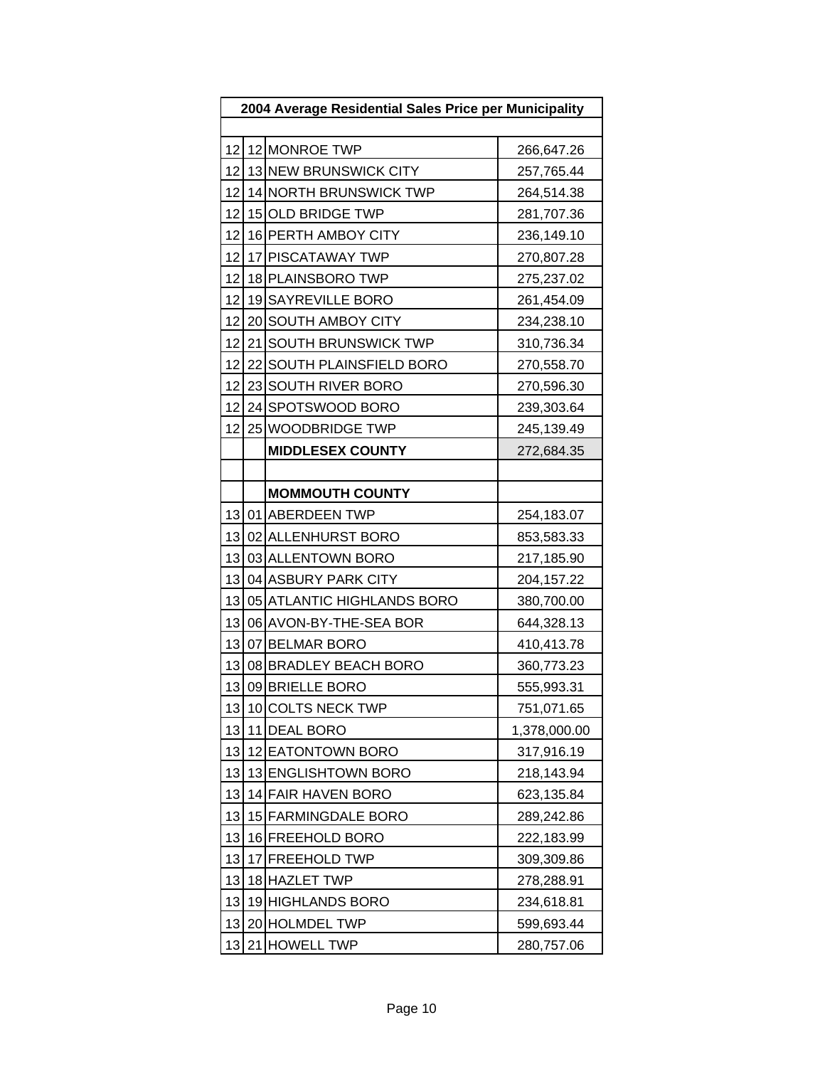| 2004 Average Residential Sales Price per Municipality |  |                            |              |
|-------------------------------------------------------|--|----------------------------|--------------|
|                                                       |  |                            |              |
| 12 <sub>l</sub>                                       |  | 12 MONROE TWP              | 266,647.26   |
| 12                                                    |  | 13 NEW BRUNSWICK CITY      | 257,765.44   |
| 12                                                    |  | 14 NORTH BRUNSWICK TWP     | 264,514.38   |
| 12                                                    |  | 15 OLD BRIDGE TWP          | 281,707.36   |
| 12                                                    |  | 16 PERTH AMBOY CITY        | 236,149.10   |
| 12                                                    |  | 17 PISCATAWAY TWP          | 270,807.28   |
| 12                                                    |  | 18 PLAINSBORO TWP          | 275,237.02   |
| 12                                                    |  | 19 SAYREVILLE BORO         | 261,454.09   |
| 12                                                    |  | 20 SOUTH AMBOY CITY        | 234,238.10   |
| 12                                                    |  | 21 SOUTH BRUNSWICK TWP     | 310,736.34   |
| 12                                                    |  | 22 SOUTH PLAINSFIELD BORO  | 270,558.70   |
| 12                                                    |  | 23 SOUTH RIVER BORO        | 270,596.30   |
| 12                                                    |  | 24 SPOTSWOOD BORO          | 239,303.64   |
| 12                                                    |  | 25 WOODBRIDGE TWP          | 245,139.49   |
|                                                       |  | <b>MIDDLESEX COUNTY</b>    | 272,684.35   |
|                                                       |  |                            |              |
|                                                       |  | <b>MOMMOUTH COUNTY</b>     |              |
|                                                       |  | 13 01 ABERDEEN TWP         | 254,183.07   |
| 13                                                    |  | 02 ALLENHURST BORO         | 853,583.33   |
| 13                                                    |  | 03 ALLENTOWN BORO          | 217,185.90   |
| 13                                                    |  | 04 ASBURY PARK CITY        | 204, 157. 22 |
| 13                                                    |  | 05 ATLANTIC HIGHLANDS BORO | 380,700.00   |
| 13                                                    |  | 06 AVON-BY-THE-SEA BOR     | 644,328.13   |
| 13                                                    |  | 07 BELMAR BORO             | 410,413.78   |
| 13                                                    |  | 08 BRADLEY BEACH BORO      | 360,773.23   |
| 13                                                    |  | 09 BRIELLE BORO            | 555,993.31   |
| 13                                                    |  | 10 COLTS NECK TWP          | 751,071.65   |
| 13                                                    |  | 11 DEAL BORO               | 1,378,000.00 |
| 13                                                    |  | 12 EATONTOWN BORO          | 317,916.19   |
| 13                                                    |  | 13 ENGLISHTOWN BORO        | 218,143.94   |
| 13                                                    |  | 14 FAIR HAVEN BORO         | 623,135.84   |
| 13                                                    |  | 15 FARMINGDALE BORO        | 289,242.86   |
| 13                                                    |  | 16 FREEHOLD BORO           | 222,183.99   |
| 13                                                    |  | 17 FREEHOLD TWP            | 309,309.86   |
| 13                                                    |  | 18 HAZLET TWP              | 278,288.91   |
| 13                                                    |  | 19 HIGHLANDS BORO          | 234,618.81   |
| 13                                                    |  | 20 HOLMDEL TWP             | 599,693.44   |
| 13                                                    |  | 21 HOWELL TWP              | 280,757.06   |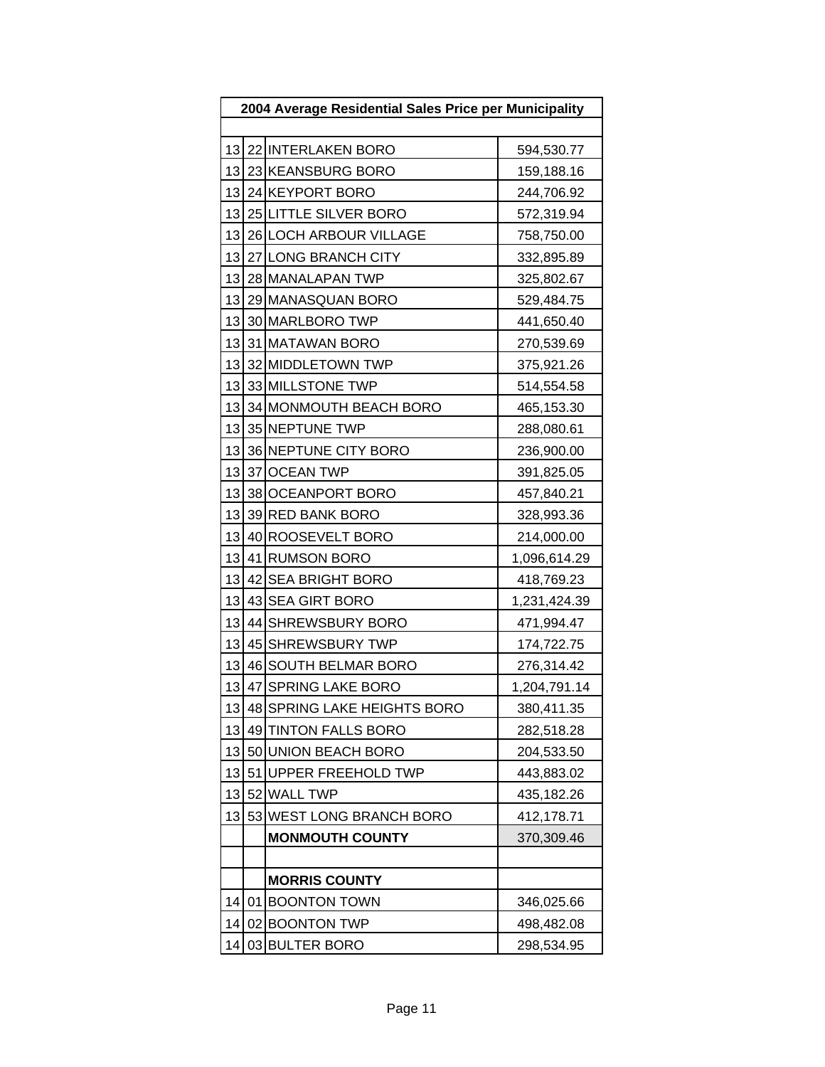|    | 2004 Average Residential Sales Price per Municipality |                             |              |  |
|----|-------------------------------------------------------|-----------------------------|--------------|--|
|    |                                                       |                             |              |  |
|    |                                                       | 13 22 INTERLAKEN BORO       | 594,530.77   |  |
| 13 |                                                       | 23 KEANSBURG BORO           | 159,188.16   |  |
| 13 |                                                       | 24 KEYPORT BORO             | 244,706.92   |  |
| 13 |                                                       | 25 LITTLE SILVER BORO       | 572,319.94   |  |
| 13 |                                                       | 26 LOCH ARBOUR VILLAGE      | 758,750.00   |  |
| 13 |                                                       | 27 LONG BRANCH CITY         | 332,895.89   |  |
|    |                                                       | 13 28 MANALAPAN TWP         | 325,802.67   |  |
|    |                                                       | 13 29 MANASQUAN BORO        | 529,484.75   |  |
| 13 |                                                       | 30 MARLBORO TWP             | 441,650.40   |  |
|    |                                                       | 13 31 MATAWAN BORO          | 270,539.69   |  |
| 13 |                                                       | 32 MIDDLETOWN TWP           | 375,921.26   |  |
| 13 |                                                       | 33 MILLSTONE TWP            | 514,554.58   |  |
|    |                                                       | 13 34 MONMOUTH BEACH BORO   | 465,153.30   |  |
|    |                                                       | 13 35 NEPTUNE TWP           | 288,080.61   |  |
| 13 |                                                       | 36 NEPTUNE CITY BORO        | 236,900.00   |  |
|    |                                                       | 13 37 OCEAN TWP             | 391,825.05   |  |
| 13 |                                                       | 38 OCEANPORT BORO           | 457,840.21   |  |
| 13 |                                                       | 39 RED BANK BORO            | 328,993.36   |  |
| 13 |                                                       | 40 ROOSEVELT BORO           | 214,000.00   |  |
| 13 |                                                       | 41 RUMSON BORO              | 1,096,614.29 |  |
| 13 |                                                       | 42 SEA BRIGHT BORO          | 418,769.23   |  |
| 13 |                                                       | 43 SEA GIRT BORO            | 1,231,424.39 |  |
| 13 |                                                       | 44 SHREWSBURY BORO          | 471,994.47   |  |
| 13 |                                                       | 45 SHREWSBURY TWP           | 174,722.75   |  |
| 13 |                                                       | 46 SOUTH BELMAR BORO        | 276,314.42   |  |
| 13 |                                                       | 47 SPRING LAKE BORO         | 1,204,791.14 |  |
| 13 |                                                       | 48 SPRING LAKE HEIGHTS BORO | 380,411.35   |  |
| 13 |                                                       | 49 TINTON FALLS BORO        | 282,518.28   |  |
| 13 |                                                       | 50 UNION BEACH BORO         | 204,533.50   |  |
| 13 |                                                       | 51 UPPER FREEHOLD TWP       | 443,883.02   |  |
| 13 |                                                       | 52 WALL TWP                 | 435,182.26   |  |
| 13 |                                                       | 53 WEST LONG BRANCH BORO    | 412,178.71   |  |
|    |                                                       | <b>MONMOUTH COUNTY</b>      | 370,309.46   |  |
|    |                                                       |                             |              |  |
|    |                                                       | <b>MORRIS COUNTY</b>        |              |  |
| 14 |                                                       | 01 BOONTON TOWN             | 346,025.66   |  |
| 14 |                                                       | 02 BOONTON TWP              | 498,482.08   |  |
| 14 |                                                       | 03 BULTER BORO              | 298,534.95   |  |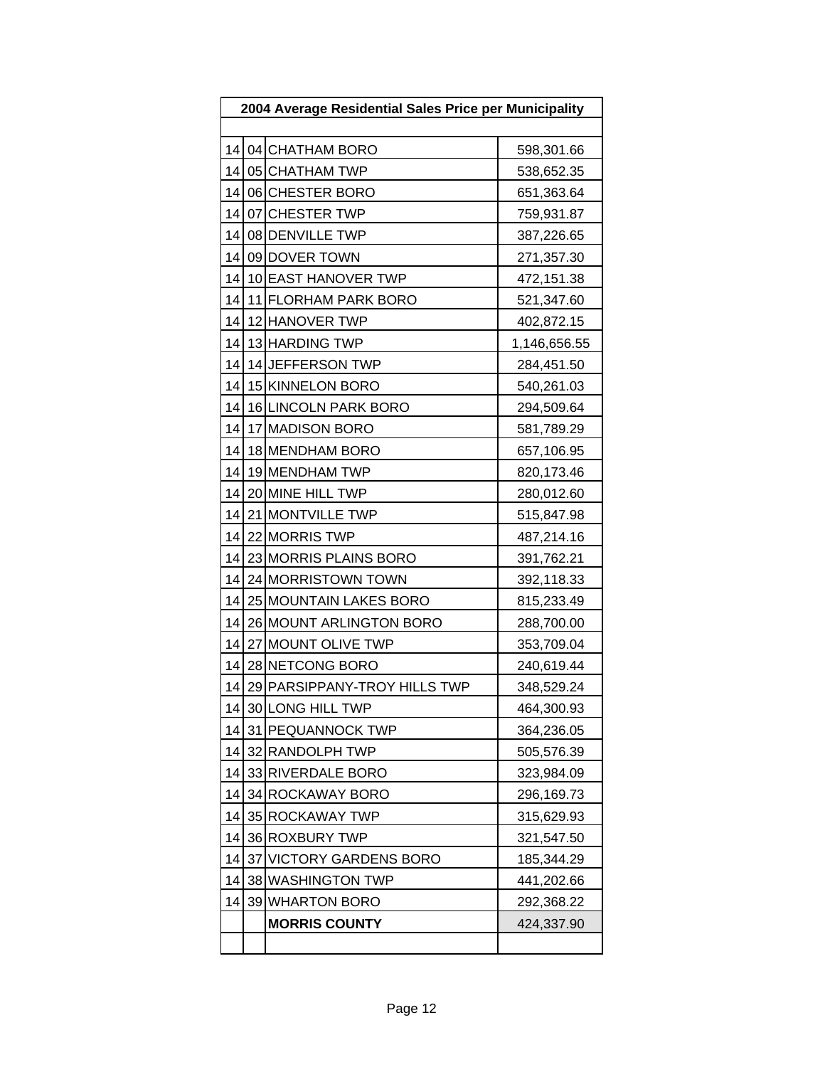|     | 2004 Average Residential Sales Price per Municipality |                              |              |  |
|-----|-------------------------------------------------------|------------------------------|--------------|--|
|     |                                                       |                              |              |  |
| 14  |                                                       | 04 CHATHAM BORO              | 598,301.66   |  |
| 14  |                                                       | 05 CHATHAM TWP               | 538,652.35   |  |
| 14  |                                                       | 06 CHESTER BORO              | 651,363.64   |  |
| 14  |                                                       | 07 CHESTER TWP               | 759,931.87   |  |
| 14  |                                                       | 08 DENVILLE TWP              | 387,226.65   |  |
| 14  |                                                       | 09 DOVER TOWN                | 271,357.30   |  |
| 14  |                                                       | 10 EAST HANOVER TWP          | 472,151.38   |  |
| 14  |                                                       | 11 FLORHAM PARK BORO         | 521,347.60   |  |
| 14  |                                                       | 12 HANOVER TWP               | 402,872.15   |  |
| 14  |                                                       | 13 HARDING TWP               | 1,146,656.55 |  |
| 14  |                                                       | 14 JEFFERSON TWP             | 284,451.50   |  |
| 14  |                                                       | 15 KINNELON BORO             | 540,261.03   |  |
| 14  |                                                       | 16 LINCOLN PARK BORO         | 294,509.64   |  |
| 14  |                                                       | 17 MADISON BORO              | 581,789.29   |  |
| 14  |                                                       | 18 MENDHAM BORO              | 657,106.95   |  |
| 14  |                                                       | 19 MENDHAM TWP               | 820,173.46   |  |
| 14  |                                                       | 20 MINE HILL TWP             | 280,012.60   |  |
| 14  |                                                       | 21 MONTVILLE TWP             | 515,847.98   |  |
| 14  |                                                       | 22 MORRIS TWP                | 487,214.16   |  |
| 14  |                                                       | 23 MORRIS PLAINS BORO        | 391,762.21   |  |
| 14  |                                                       | 24 MORRISTOWN TOWN           | 392,118.33   |  |
| 14  |                                                       | 25 MOUNTAIN LAKES BORO       | 815,233.49   |  |
| 14  |                                                       | 26 MOUNT ARLINGTON BORO      | 288,700.00   |  |
| 14  |                                                       | 27 MOUNT OLIVE TWP           | 353,709.04   |  |
| 14  |                                                       | 28 NETCONG BORO              | 240,619.44   |  |
| 14  |                                                       | 29 PARSIPPANY-TROY HILLS TWP | 348,529.24   |  |
| 141 |                                                       | 30 LONG HILL TWP             | 464,300.93   |  |
| 14  |                                                       | 31 PEQUANNOCK TWP            | 364,236.05   |  |
| 14  |                                                       | 32 RANDOLPH TWP              | 505,576.39   |  |
| 14  |                                                       | 33 RIVERDALE BORO            | 323,984.09   |  |
| 14  |                                                       | 34 ROCKAWAY BORO             | 296,169.73   |  |
| 14  |                                                       | 35 ROCKAWAY TWP              | 315,629.93   |  |
| 14  |                                                       | 36 ROXBURY TWP               | 321,547.50   |  |
| 14  |                                                       | 37 VICTORY GARDENS BORO      | 185,344.29   |  |
| 14  |                                                       | 38 WASHINGTON TWP            | 441,202.66   |  |
| 14  |                                                       | 39 WHARTON BORO              | 292,368.22   |  |
|     |                                                       | <b>MORRIS COUNTY</b>         | 424,337.90   |  |
|     |                                                       |                              |              |  |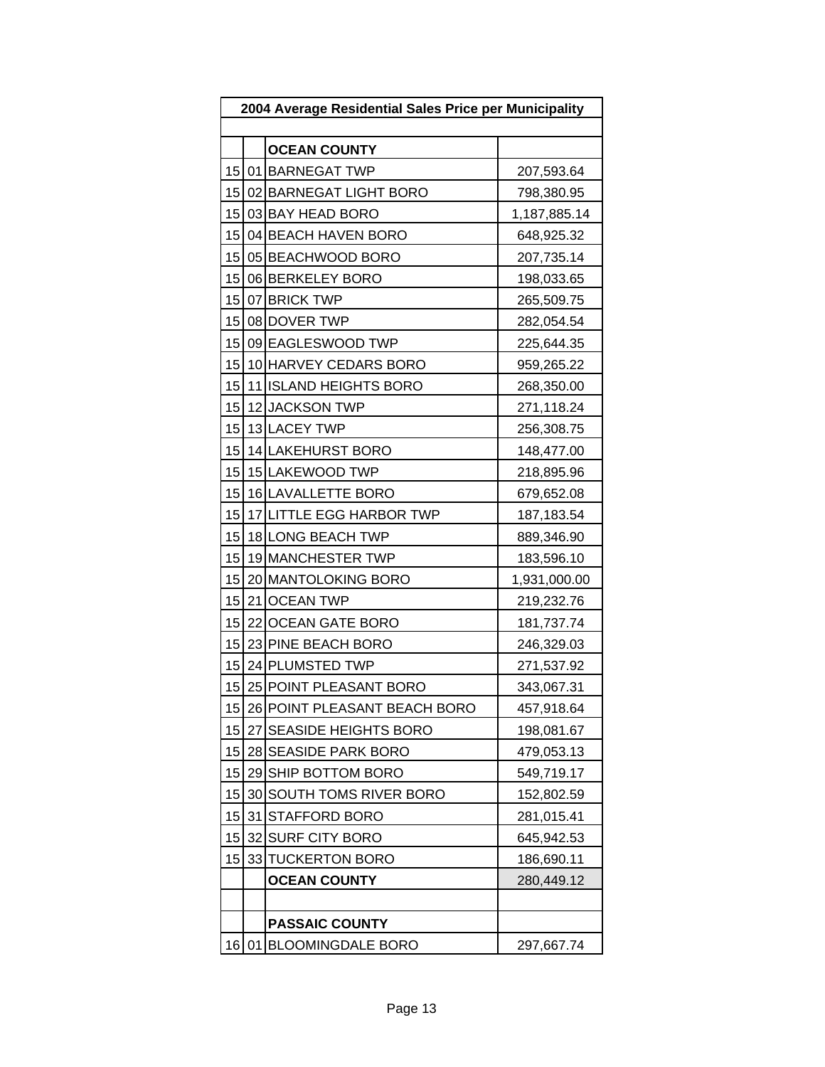| 2004 Average Residential Sales Price per Municipality |    |                              |              |
|-------------------------------------------------------|----|------------------------------|--------------|
|                                                       |    |                              |              |
|                                                       |    | <b>OCEAN COUNTY</b>          |              |
|                                                       |    | 15 01 BARNEGAT TWP           | 207,593.64   |
| 15                                                    |    | 02 BARNEGAT LIGHT BORO       | 798,380.95   |
| 15                                                    |    | 03 BAY HEAD BORO             | 1,187,885.14 |
| 15 <sup>1</sup>                                       |    | 04 BEACH HAVEN BORO          | 648,925.32   |
| 15                                                    |    | 05 BEACHWOOD BORO            | 207,735.14   |
| 15                                                    |    | 06 BERKELEY BORO             | 198,033.65   |
|                                                       |    | 15 07 BRICK TWP              | 265,509.75   |
|                                                       |    | 15 08 DOVER TWP              | 282,054.54   |
| 15                                                    |    | 09 EAGLESWOOD TWP            | 225,644.35   |
| 15                                                    |    | 10 HARVEY CEDARS BORO        | 959,265.22   |
| 15                                                    |    | 11 ISLAND HEIGHTS BORO       | 268,350.00   |
| 15                                                    |    | 12 JACKSON TWP               | 271,118.24   |
| 15 <sup>1</sup>                                       |    | 13 LACEY TWP                 | 256,308.75   |
| 15                                                    |    | 14 LAKEHURST BORO            | 148,477.00   |
| 15 <sup>1</sup>                                       |    | 15 LAKEWOOD TWP              | 218,895.96   |
| 15                                                    |    | 16 LAVALLETTE BORO           | 679,652.08   |
| 15                                                    |    | 17 LITTLE EGG HARBOR TWP     | 187, 183.54  |
| 15                                                    |    | 18 LONG BEACH TWP            | 889,346.90   |
| 15                                                    |    | 19 MANCHESTER TWP            | 183,596.10   |
| 15                                                    |    | 20 MANTOLOKING BORO          | 1,931,000.00 |
| 15                                                    |    | 21 OCEAN TWP                 | 219,232.76   |
| 15                                                    |    | 22 OCEAN GATE BORO           | 181,737.74   |
|                                                       |    | 15 23 PINE BEACH BORO        | 246,329.03   |
| 15                                                    |    | 24 PLUMSTED TWP              | 271,537.92   |
| 15                                                    |    | 25 POINT PLEASANT BORO       | 343,067.31   |
| 15                                                    |    | 26 POINT PLEASANT BEACH BORO | 457,918.64   |
| 15                                                    |    | 27 SEASIDE HEIGHTS BORO      | 198,081.67   |
| 15                                                    |    | 28 SEASIDE PARK BORO         | 479,053.13   |
| 15                                                    |    | 29 SHIP BOTTOM BORO          | 549,719.17   |
| 15                                                    | 30 | SOUTH TOMS RIVER BORO        | 152,802.59   |
| 15                                                    |    | 31 STAFFORD BORO             | 281,015.41   |
| 15                                                    |    | 32 SURF CITY BORO            | 645,942.53   |
| 15                                                    |    | 33 TUCKERTON BORO            | 186,690.11   |
|                                                       |    | <b>OCEAN COUNTY</b>          | 280,449.12   |
|                                                       |    |                              |              |
|                                                       |    | <b>PASSAIC COUNTY</b>        |              |
| 16                                                    |    | 01 BLOOMINGDALE BORO         | 297,667.74   |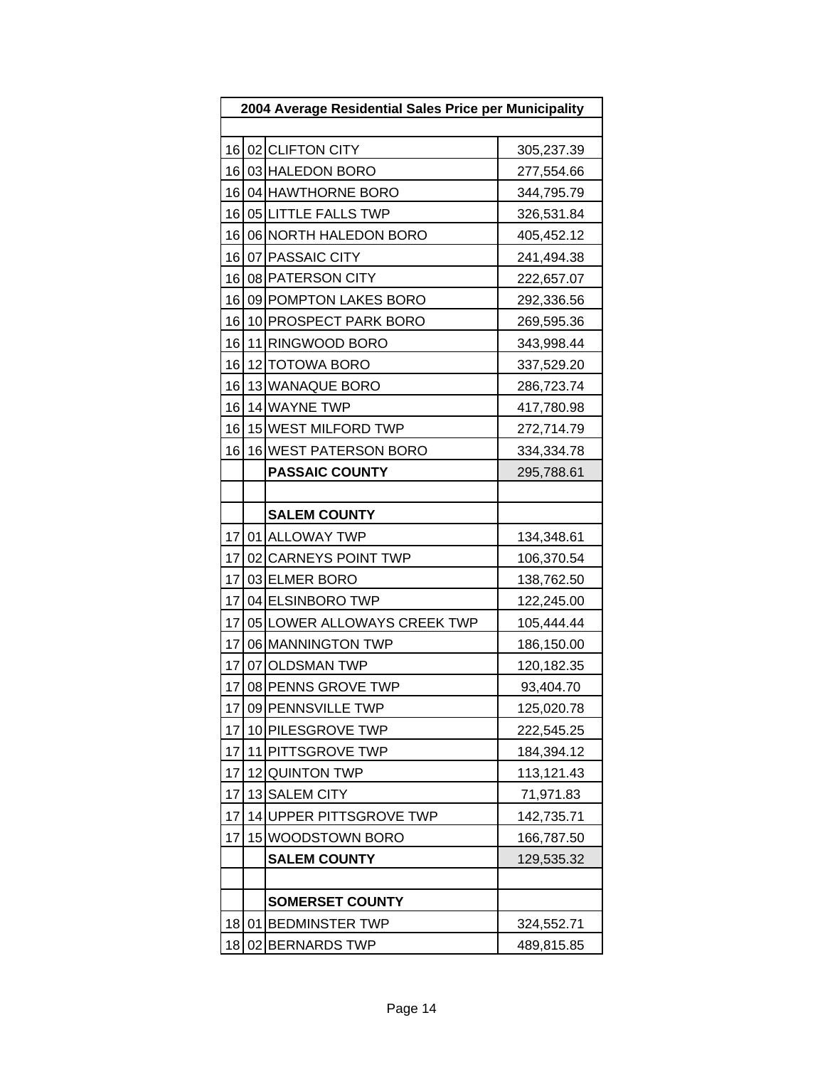| 2004 Average Residential Sales Price per Municipality |    |                             |            |
|-------------------------------------------------------|----|-----------------------------|------------|
|                                                       |    |                             |            |
|                                                       |    | 16 02 CLIFTON CITY          | 305,237.39 |
| 16                                                    |    | 03 HALEDON BORO             | 277,554.66 |
| 16                                                    |    | 04 HAWTHORNE BORO           | 344,795.79 |
|                                                       |    | 16 05 LITTLE FALLS TWP      | 326,531.84 |
| 16                                                    |    | 06 NORTH HALEDON BORO       | 405,452.12 |
| 16                                                    |    | 07 PASSAIC CITY             | 241,494.38 |
|                                                       |    | 16 08 PATERSON CITY         | 222,657.07 |
| 16                                                    |    | 09 POMPTON LAKES BORO       | 292,336.56 |
| 16                                                    |    | 10 PROSPECT PARK BORO       | 269,595.36 |
| 16                                                    |    | 11 RINGWOOD BORO            | 343,998.44 |
| 16                                                    |    | 12 TOTOWA BORO              | 337,529.20 |
| 16                                                    |    | 13 WANAQUE BORO             | 286,723.74 |
| 16                                                    |    | 14 WAYNE TWP                | 417,780.98 |
| 16                                                    |    | 15 WEST MILFORD TWP         | 272,714.79 |
| 16                                                    |    | 16 WEST PATERSON BORO       | 334,334.78 |
|                                                       |    | <b>PASSAIC COUNTY</b>       | 295,788.61 |
|                                                       |    |                             |            |
|                                                       |    | <b>SALEM COUNTY</b>         |            |
| 17                                                    |    | 01 ALLOWAY TWP              | 134,348.61 |
| 17                                                    |    | 02 CARNEYS POINT TWP        | 106,370.54 |
| 17                                                    |    | 03 ELMER BORO               | 138,762.50 |
| 17                                                    |    | 04 ELSINBORO TWP            | 122,245.00 |
| 17                                                    |    | 05 LOWER ALLOWAYS CREEK TWP | 105,444.44 |
| 17                                                    |    | 06 MANNINGTON TWP           | 186,150.00 |
| 17                                                    |    | 07 OLDSMAN TWP              | 120,182.35 |
| 17                                                    |    | 08 PENNS GROVE TWP          | 93,404.70  |
| 17                                                    |    | 09 PENNSVILLE TWP           | 125,020.78 |
| 17                                                    |    | 10 PILESGROVE TWP           | 222,545.25 |
| 17                                                    |    | 11 PITTSGROVE TWP           | 184,394.12 |
| 17                                                    |    | 12 QUINTON TWP              | 113,121.43 |
| 17                                                    |    | 13 SALEM CITY               | 71,971.83  |
| 17                                                    |    | 14 UPPER PITTSGROVE TWP     | 142,735.71 |
| 17                                                    |    | 15 WOODSTOWN BORO           | 166,787.50 |
|                                                       |    | <b>SALEM COUNTY</b>         | 129,535.32 |
|                                                       |    |                             |            |
|                                                       |    | <b>SOMERSET COUNTY</b>      |            |
| 18                                                    | 01 | <b>BEDMINSTER TWP</b>       | 324,552.71 |
| 18                                                    |    | 02 BERNARDS TWP             | 489,815.85 |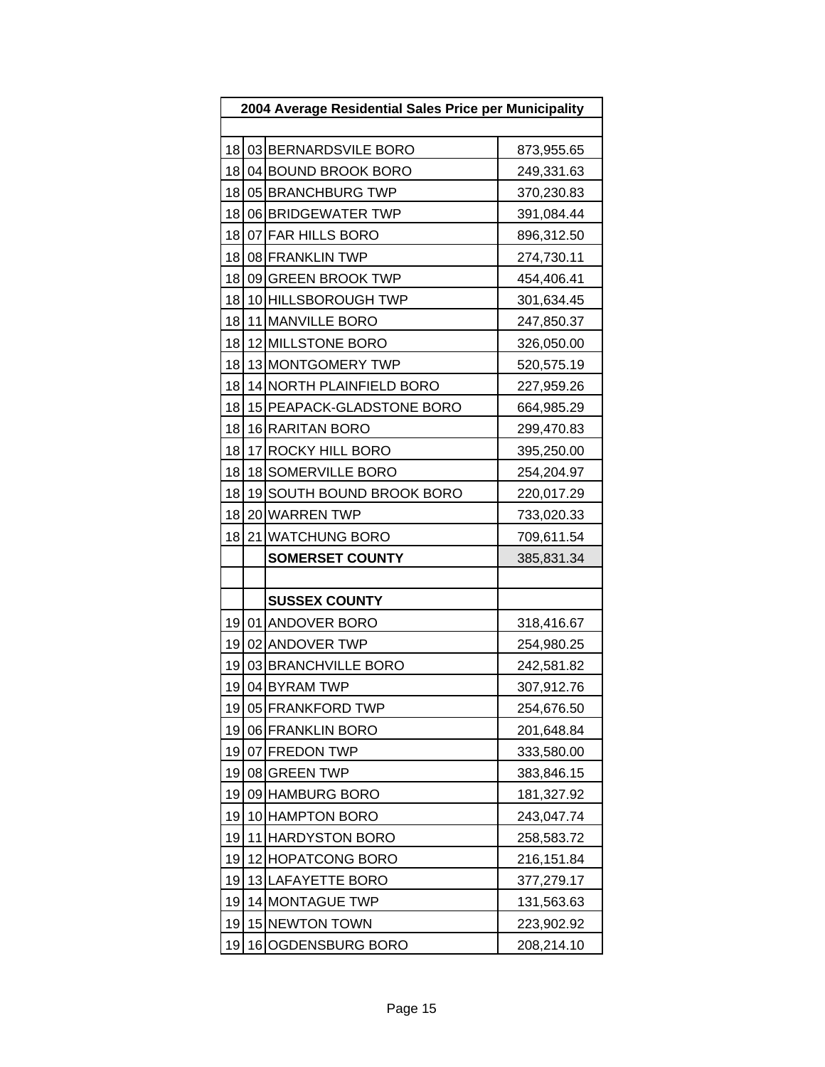| 2004 Average Residential Sales Price per Municipality |    |                           |            |
|-------------------------------------------------------|----|---------------------------|------------|
|                                                       |    |                           |            |
|                                                       |    | 18 03 BERNARDSVILE BORO   | 873,955.65 |
| 18                                                    |    | 04 BOUND BROOK BORO       | 249,331.63 |
| 18                                                    |    | 05 BRANCHBURG TWP         | 370,230.83 |
| 18                                                    |    | 06 BRIDGEWATER TWP        | 391,084.44 |
| 18                                                    |    | 07 FAR HILLS BORO         | 896,312.50 |
| 18                                                    |    | 08 FRANKLIN TWP           | 274,730.11 |
| 18                                                    |    | 09 GREEN BROOK TWP        | 454,406.41 |
| 18                                                    |    | 10 HILLSBOROUGH TWP       | 301,634.45 |
| 18                                                    |    | 11 MANVILLE BORO          | 247,850.37 |
| 18                                                    |    | 12 MILLSTONE BORO         | 326,050.00 |
| 18                                                    |    | 13 MONTGOMERY TWP         | 520,575.19 |
| 18                                                    |    | 14 NORTH PLAINFIELD BORO  | 227,959.26 |
| 18                                                    |    | 15 PEAPACK-GLADSTONE BORO | 664,985.29 |
| 18                                                    |    | 16 RARITAN BORO           | 299,470.83 |
| 18                                                    |    | 17 ROCKY HILL BORO        | 395,250.00 |
| 18                                                    |    | 18 SOMERVILLE BORO        | 254,204.97 |
| 18                                                    |    | 19 SOUTH BOUND BROOK BORO | 220,017.29 |
| 18                                                    |    | 20 WARREN TWP             | 733,020.33 |
| 18                                                    |    | 21 WATCHUNG BORO          | 709,611.54 |
|                                                       |    | <b>SOMERSET COUNTY</b>    | 385,831.34 |
|                                                       |    |                           |            |
|                                                       |    | <b>SUSSEX COUNTY</b>      |            |
| 19                                                    |    | 01 ANDOVER BORO           | 318,416.67 |
| 19                                                    |    | 02 ANDOVER TWP            | 254,980.25 |
| 19                                                    |    | 03 BRANCHVILLE BORO       | 242,581.82 |
| 19                                                    |    | 04 BYRAM TWP              | 307,912.76 |
| 19                                                    |    | 05 FRANKFORD TWP          | 254,676.50 |
| 19                                                    |    | 06 FRANKLIN BORO          | 201,648.84 |
| 19                                                    |    | 07 FREDON TWP             | 333,580.00 |
| 19                                                    |    | 08 GREEN TWP              | 383,846.15 |
| 19                                                    |    | 09 HAMBURG BORO           | 181,327.92 |
| 19                                                    |    | 10 HAMPTON BORO           | 243,047.74 |
| 19                                                    |    | 11 HARDYSTON BORO         | 258,583.72 |
| 19                                                    |    | 12 HOPATCONG BORO         | 216,151.84 |
| 19                                                    |    | 13 LAFAYETTE BORO         | 377,279.17 |
| 19                                                    |    | 14 MONTAGUE TWP           | 131,563.63 |
| 19                                                    |    | 15 NEWTON TOWN            | 223,902.92 |
| 19                                                    | 16 | OGDENSBURG BORO           | 208,214.10 |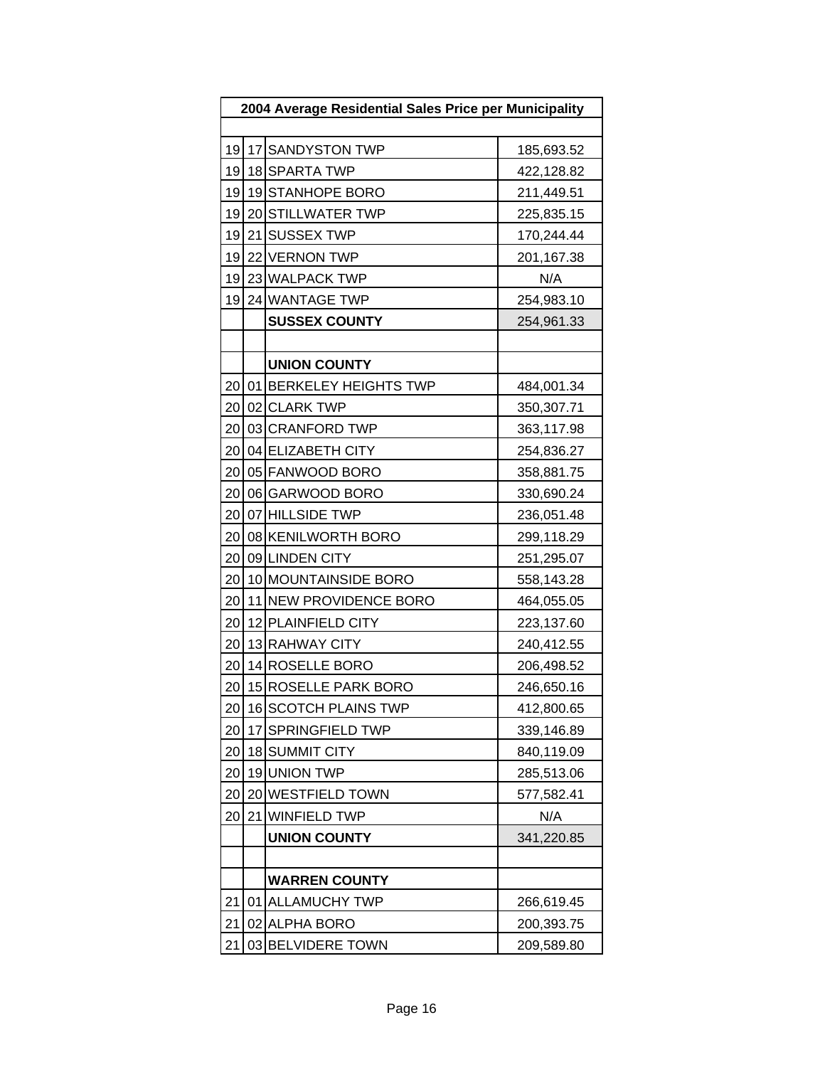| 2004 Average Residential Sales Price per Municipality |  |                         |            |
|-------------------------------------------------------|--|-------------------------|------------|
|                                                       |  |                         |            |
| 19                                                    |  | 17 SANDYSTON TWP        | 185,693.52 |
| 19                                                    |  | 18 SPARTA TWP           | 422,128.82 |
| 19                                                    |  | 19 STANHOPE BORO        | 211,449.51 |
| 19                                                    |  | 20 STILLWATER TWP       | 225,835.15 |
| 19                                                    |  | 21 SUSSEX TWP           | 170,244.44 |
| 19                                                    |  | 22 VERNON TWP           | 201,167.38 |
| 19                                                    |  | 23 WALPACK TWP          | N/A        |
| 19                                                    |  | 24 WANTAGE TWP          | 254,983.10 |
|                                                       |  | <b>SUSSEX COUNTY</b>    | 254,961.33 |
|                                                       |  |                         |            |
|                                                       |  | <b>UNION COUNTY</b>     |            |
| 20                                                    |  | 01 BERKELEY HEIGHTS TWP | 484,001.34 |
| 20                                                    |  | 02 CLARK TWP            | 350,307.71 |
| 20                                                    |  | 03 CRANFORD TWP         | 363,117.98 |
| 20                                                    |  | 04 ELIZABETH CITY       | 254,836.27 |
| 20                                                    |  | 05 FANWOOD BORO         | 358,881.75 |
| 20                                                    |  | 06 GARWOOD BORO         | 330,690.24 |
|                                                       |  | 20 07 HILLSIDE TWP      | 236,051.48 |
| 20                                                    |  | 08 KENILWORTH BORO      | 299,118.29 |
| 20                                                    |  | 09 LINDEN CITY          | 251,295.07 |
| 20                                                    |  | 10 MOUNTAINSIDE BORO    | 558,143.28 |
| 20                                                    |  | 11 NEW PROVIDENCE BORO  | 464,055.05 |
| 20                                                    |  | 12 PLAINFIELD CITY      | 223,137.60 |
| 20                                                    |  | 13 RAHWAY CITY          | 240,412.55 |
| 20                                                    |  | 14 ROSELLE BORO         | 206,498.52 |
| 20                                                    |  | 15 ROSELLE PARK BORO    | 246,650.16 |
| 20                                                    |  | 16 SCOTCH PLAINS TWP    | 412,800.65 |
| 20                                                    |  | 17 SPRINGFIELD TWP      | 339,146.89 |
| 20                                                    |  | 18 SUMMIT CITY          | 840,119.09 |
| 20                                                    |  | 19 UNION TWP            | 285,513.06 |
| 20                                                    |  | 20 WESTFIELD TOWN       | 577,582.41 |
| 20                                                    |  | 21 WINFIELD TWP         | N/A        |
|                                                       |  | <b>UNION COUNTY</b>     | 341,220.85 |
|                                                       |  |                         |            |
|                                                       |  | <b>WARREN COUNTY</b>    |            |
| 21                                                    |  | 01 ALLAMUCHY TWP        | 266,619.45 |
| 21                                                    |  | 02 ALPHA BORO           | 200,393.75 |
| 21                                                    |  | 03 BELVIDERE TOWN       | 209,589.80 |